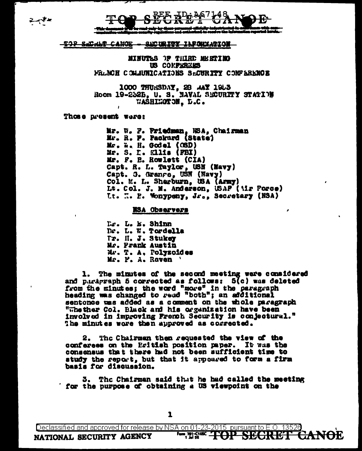



## <del>tjp Sachat Canoe -</del> SUC URITY INFORMATION

MINUTES OF THIRD MEETING US CONFRREES FRANCH COMMUNICATIONS SACURITY CONFERENCE

1000 THURSDAY, 28 AAY 1953<br>Room 19-2325, U.S. NAVAL SECURITY STATION WASHINGTON, D.C.

Those present were:

Mr. W. F. Priedman, NSA, Chairman Mr. R. P. Packurd (State) Mr. W. H. Godel (OSD) Mr. S. I. Ellis (FBI) Mr. F. B. Rowlett (CIA) Capt. R. L. Taylor, USN (Navy) Capt. 3. Granre, USN (Navy)<br>Col. M. L. Sherburn, USA (Army) Lt. Col. J. M. Anderson, USAF (Mir Force) It. I. P. Monypeny, Jr., Secretary (NSA)

NSA Observers

Ls. L. E. Shinn Dr. L. W. Tordella Tr. II. J. Stukey Mr. Frank Austin Mr. T. A. Polyzoides Mr. F. A. Raven

1. The minutes of the second meeting were considered and paragraph 5 corrected as follows: 5(c) was deleted from the minutes; the word "more" in the paragraph heading was changed to read "both"; an additional sentonce was added as a comment on the whole paragraph "Whether Col. Black and his organization have been involved in improving French Security is conjectural." The minutes wore then approved as corrected.

The Chairman then requested the view of the conferees on the Eritish position paper. It was the consensus that there had not been sufficient time to study the report, but that it appoared to form a firm basis for discussion.

3. The Chairman said that he had called the meeting for the purpose of obtaining a US viewpoint on the

Declassified and approved for release by NSA on 01-23-2015 pursuant to E.O. 13526

**Form, 791-9866 - THEAP SECTREF**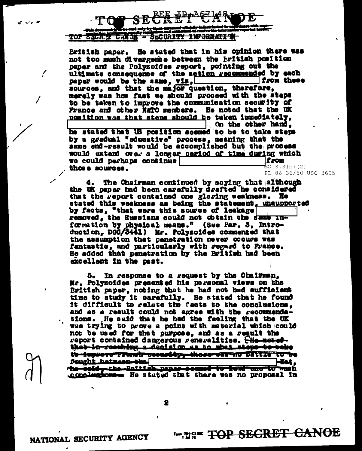

British paper. He stated that in his opinion there was not too much divergemee between the Eritish position paper and the Polyzoides report, pointing out the ultimate consequence of the action recommended by each paper would be the same,  $\overline{v1s}$ , from these sources, and that the major question, therefore, merely was how fast we should proceed with the steps to be taken to improve the communication security of France and other NATO members. He noted that the UK position was that atens should be taken immediately. On the other hand.

he stated that US position seemed to be to take steps by a gradual "educative" process, meaning that the same end-result would be accomplished but the process would extend over a longer neriod of time during which we could perhaps continue from  $EO \ 3.3(h) (2)$ those sources.

PL 86-36/50 USC 3605 The Chairman continued by saying that although the UK paper had been carefully drafted he considered

that the report contained one glaring weakness. He stated this weakness as being the statement. unsupported by facts, "that were this source of leakage removed, the Russians could not obtain the same information by physical means." (See Par. 5. Introduction, DGC/3441) Mr. Polysoides commented that the assumption that penetration never occurs was fantastic, and particularly with regard to France. He added that penetration by the British had been excellent in the past.

5. In response to a request by the Chairman. Mr. Polyzoides presented his personal views on the Eritish paper, noting that he had not had sufficient time to study it carefully. He stated that he found it difficult to relate the facts to the conclusions. and as a result could not agree with the recommendations. He said that he had the feeling that the UK was trying to prove a point with material which could not be used for that purpose, and as a regult the report contained dangerous reneralities. Hie notedthat in resching a deal sion as to what steps to take to-taprova Franch security-those-warma Dattie to be Rought hatmeen-the--Tet. the cold-ribe-Baitish paper-comed-to-lead care to wash conclusions. He stated that there was no proposal in

2

4.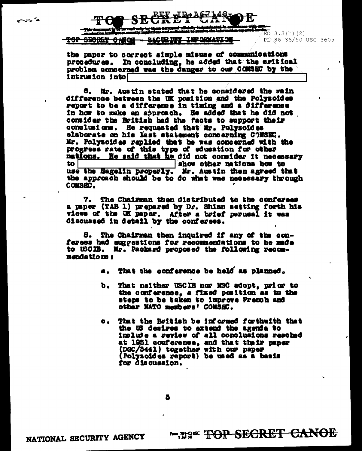



## TOP SEORET ORIGE - SECIRITY INFORMATIO

 $\overline{EO}$  3.3(h)(2) PL 86-36/50 USC 3605

the paper to correct simple misuse of communications procedures. In concluding, he added that the critical problem concerned was the danger to our COMSEC by the intrusion into

6. Mr. Austin stated that he considered the main difference between the UK position and the Polyzoides report to be a difference in timing and a difference in how to make an approach. He added that he did not consider the British had the facts to support their conclusions. He requested that Mr. Polyzoides elaborate on his last statement concerning COMSEC. Mr. Polyzoides replied that he was concerned with the progress rate of this type of education for other nations. He said that he did not consider it necessary show other nations how to to l use the Hagelin properly. Mr. Austin then agreed that the approach should be to do what was necessary through **COMSEC.** 

7. The Chairman then distributed to the conferees a paper (TAB 1) prepared by Dr. Shinn setting forth his views of the UK paper. After a brief perusal it was discussed in detail by the conferees.

8. The Chairman then inquired if any of the conferoes had suggestions for recommendations to be made to USCIB. Mr. Packard proposed the following recommendations:

- a. That the conference be held as planned.
- That neither USCIB nor NSC adopt, prior to b. the conference, a fixed position as to the steps to be taken to improve Fremeh and other NATO meshers' COMSEC.
- That the British be informed forthwith that  $\mathbf{c}_{\bullet}$ the US desires to extend the agenda to include a review of all conclusions resched at 1951 conference, and that their paper (DGC/3441) together with our paper (Polyzoides report) be used as a basis for discussion.

3

**Example of TOP SECRET CANOE**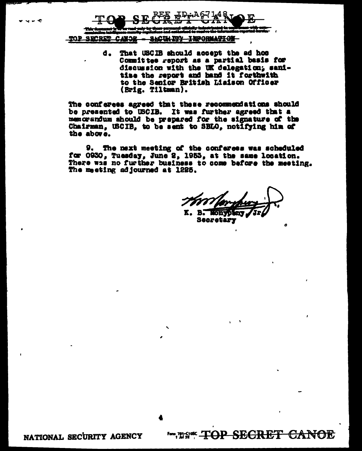

That USCIB should accept the ad hoc d. Committee report as a partial basis for discussion with the UK delegation; sanitise the report and hand it forthwith to the Senior British Liaison Officer (Brig. Tiltman).

The conferees agreed that these recommendations should be presented to USCIB. It was further agreed that a memorandum ahould be prepared for the signature of the Chairman, USCIB, to be sent to SBLO, notifying him of the above.

9. The next meeting of the conferees was scheduled for 0930, Tuesday, June 2, 1953, at the same location. There was no further business to come before the meeting. The meeting adjourned at 1225.

o

<del>candell</del>

K. B. HORVOLD Secretary

**Example TOP SECRET** 

NATIONAL SECURITY AGENCY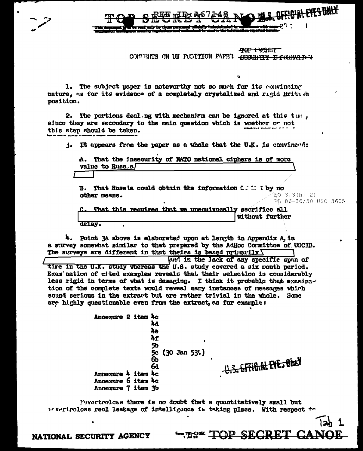<del>ዋሪም ተሣኃዚ የ</del> CONFULTS ON UK PUGITION FAPE'I - HECHNITY IFECHNAICH

1. The subject paper is noteworthy not so much for its convincing nature, as for its evidence of a completely crystalized and rigid British position.

2. The portions deal ng with mechanism can be ignored at this tum. since they are secondary to the main question which is whether or not this step should be taken.

 $\mathbf{j}$ . It appears from the paper as a whole that the U.K. is convinced:

A. That the insecurity of NATO national ciphers is of more value to Russ.s

That Russla could obtain the information  $C: \mathbb{C} \to \mathbb{N}$  no В. other means.  $EO$  3.3(h)(2) PL 86-36/50 USC 3605

<del>3. EFFIC.AL EYE. ONEY</del>

**Examples TOP SECRET CANOE** 

That this requires that we unequivocally sacrifice all without further delay.

4. Point 3A above is elaborated upon at length in Appendix A, in a survey somewhat similar to that prepared by the AdHoc Committee of USCIB. The surveys are different in that theirs is based primarily  $\sqrt{}$ 

and in the lack of any specific span of tire in the U.K. study whereas the U.S. study covered a six month period. Exam nation of cited examples reveals that their selection is considerably less rigid in terms of what is damaging. I think it probable that examingtion of the complete texts would reveal many instances of messages which sound serious in the extract but are rather trivial in the whole. Some are highly questionable even from the extract, as for example:

> Annexure 2 item 4c ha. 'nе 4f 5b 5c (30 Jan 53')<br>6b 6a Annexure 4 item 4c Annexure 6 item 4c Annexure 7 item 3b

Pevertreless there is no doubt that a quantitatively small but wevertreless real leakage of intelligance is taking place. With respect to

NATIONAL SECURITY AGENCY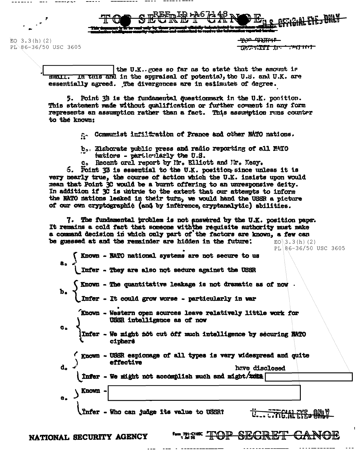$EO$  3.3(h)(2) PL 86-36/50 USC 3605

NATIONAL SECURITY AGENCY

<u>-4430 MXXIII-P</u> לידו למילה היות "בתבלתי לכולם

the U.K. poes so far as to state that the amount is  $\frac{1}{100}$  . In this and in the appraisal of potential, the U.S. and U.K. are essentially agreed. The divergences are in estimates of degree.

5. Point 3B is the fundamental questionmerk in the U.K. position. This statement made without qualification or further comment in any form represents an assumption rather than a fact. This assumption runs counter to the known:

a. Communist infiltration of France and other NATO nations.

b. Elaborate public press and radio reporting of all MATO tations - partlerlarly the U.S.

c. Recent oral report by Ir. Elliott and Mr. Keay.

5. Point 33 is essential to the U.K. position since unless it is very nearly true, the course of action which the U.K. insists upon would mean that Point 3C would be a burnt offering to an unresponsive deity. In addition if 3C is untrue to the extent that our attempts to inform the NATO nations leaked in their turn, we would hand the USSR a picture of our own cryptographic (and by inference, cryptanalytic) abilities.

7. The fundamental problem is not answered by the U.K. position pape. It remains a cold fact that someone with the requisite authority must make a command decision in which only part of the factors are known, a few can be guessed at and the remainder are hidden in the future:  $EO\3.3(h) (2)$ 

PL 86-36/50 USC 3605

Known - NATO national systems are not secure to us Infer - They are also not secure against the USSR Known - The quantitative leakage is not dramatic as of now. Infer - It could grow worse - particularly in war Known - Western open sources leave relatively little work for USSR intelligence as of now Infer - We might not cut off much intelligence by securing NATO ciphers Known - USSR espionage of all types is very widespread and quite effective d. have disclosed Infer - We might not accomplish much and might/insta Known A. Infer - Who can judge its value to USSR?